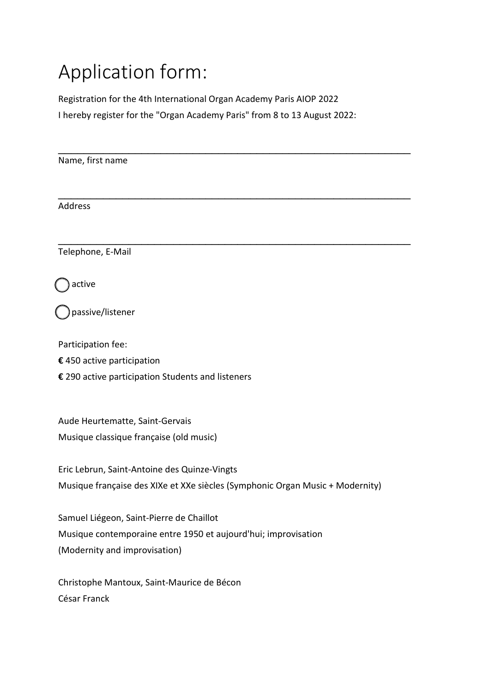## Application form:

Registration for the 4th International Organ Academy Paris AIOP 2022 I hereby register for the "Organ Academy Paris" from 8 to 13 August 2022:

\_\_\_\_\_\_\_\_\_\_\_\_\_\_\_\_\_\_\_\_\_\_\_\_\_\_\_\_\_\_\_\_\_\_\_\_\_\_\_\_\_\_\_\_\_\_\_\_\_\_\_\_\_\_\_

\_\_\_\_\_\_\_\_\_\_\_\_\_\_\_\_\_\_\_\_\_\_\_\_\_\_\_\_\_\_\_\_\_\_\_\_\_\_\_\_\_\_\_\_\_\_\_\_\_\_\_\_\_\_\_

Name, first name

\_\_\_\_\_\_\_\_\_\_\_\_\_\_\_\_\_\_\_\_\_\_\_\_\_\_\_\_\_\_\_\_\_\_\_\_\_\_\_\_\_\_\_\_\_\_\_\_\_\_\_\_\_\_\_ **Address** 

Telephone, E-Mail

active

passive/listener

Participation fee:

- **€** 450 active participation
- **€** 290 active participation Students and listeners

Aude Heurtematte, Saint-Gervais Musique classique française (old music)

Eric Lebrun, Saint-Antoine des Quinze-Vingts Musique française des XIXe et XXe siècles (Symphonic Organ Music + Modernity)

Samuel Liégeon, Saint-Pierre de Chaillot Musique contemporaine entre 1950 et aujourd'hui; improvisation (Modernity and improvisation)

Christophe Mantoux, Saint-Maurice de Bécon César Franck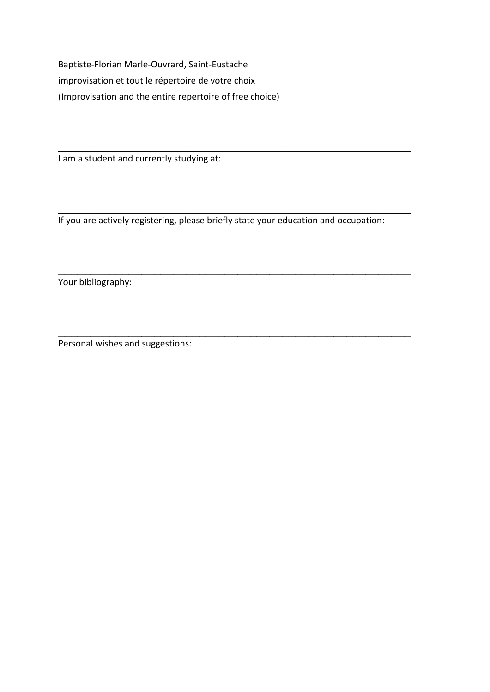Baptiste-Florian Marle-Ouvrard, Saint-Eustache improvisation et tout le répertoire de votre choix (Improvisation and the entire repertoire of free choice)

I am a student and currently studying at:

If you are actively registering, please briefly state your education and occupation:

\_\_\_\_\_\_\_\_\_\_\_\_\_\_\_\_\_\_\_\_\_\_\_\_\_\_\_\_\_\_\_\_\_\_\_\_\_\_\_\_\_\_\_\_\_\_\_\_\_\_\_\_\_\_\_

\_\_\_\_\_\_\_\_\_\_\_\_\_\_\_\_\_\_\_\_\_\_\_\_\_\_\_\_\_\_\_\_\_\_\_\_\_\_\_\_\_\_\_\_\_\_\_\_\_\_\_\_\_\_\_

\_\_\_\_\_\_\_\_\_\_\_\_\_\_\_\_\_\_\_\_\_\_\_\_\_\_\_\_\_\_\_\_\_\_\_\_\_\_\_\_\_\_\_\_\_\_\_\_\_\_\_\_\_\_\_

\_\_\_\_\_\_\_\_\_\_\_\_\_\_\_\_\_\_\_\_\_\_\_\_\_\_\_\_\_\_\_\_\_\_\_\_\_\_\_\_\_\_\_\_\_\_\_\_\_\_\_\_\_\_\_

Your bibliography:

Personal wishes and suggestions: